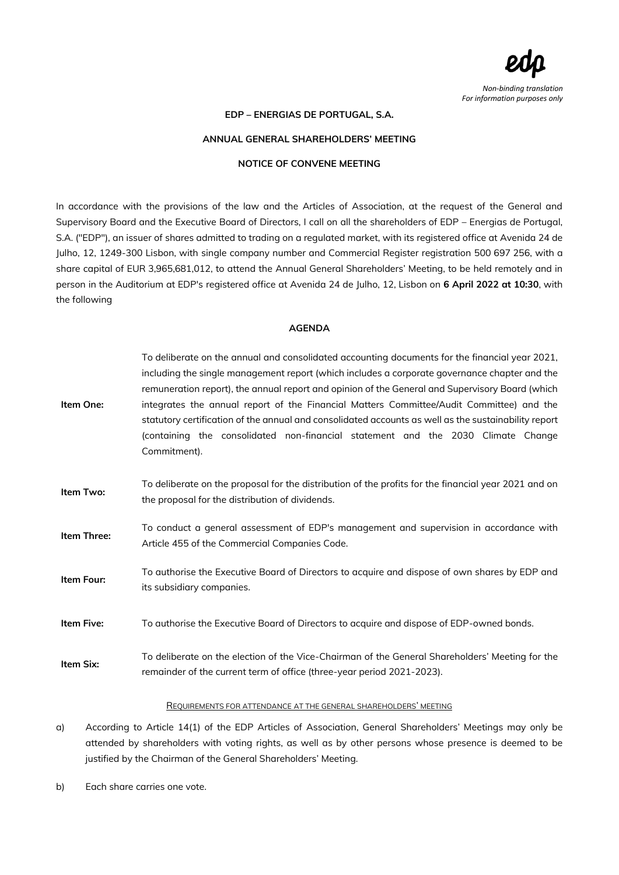

### **EDP – ENERGIAS DE PORTUGAL, S.A.**

#### **ANNUAL GENERAL SHAREHOLDERS' MEETING**

#### **NOTICE OF CONVENE MEETING**

In accordance with the provisions of the law and the Articles of Association, at the request of the General and Supervisory Board and the Executive Board of Directors, I call on all the shareholders of EDP – Energias de Portugal, S.A. ("EDP"), an issuer of shares admitted to trading on a regulated market, with its registered office at Avenida 24 de Julho, 12, 1249-300 Lisbon, with single company number and Commercial Register registration 500 697 256, with a share capital of EUR 3,965,681,012, to attend the Annual General Shareholders' Meeting, to be held remotely and in person in the Auditorium at EDP's registered office at Avenida 24 de Julho, 12, Lisbon on **6 April 2022 at 10:30**, with the following

### **AGENDA**

| Item One:   | To deliberate on the annual and consolidated accounting documents for the financial year 2021,<br>including the single management report (which includes a corporate governance chapter and the<br>remuneration report), the annual report and opinion of the General and Supervisory Board (which<br>integrates the annual report of the Financial Matters Committee/Audit Committee) and the<br>statutory certification of the annual and consolidated accounts as well as the sustainability report<br>(containing the consolidated non-financial statement and the 2030 Climate Change<br>Commitment). |  |  |
|-------------|------------------------------------------------------------------------------------------------------------------------------------------------------------------------------------------------------------------------------------------------------------------------------------------------------------------------------------------------------------------------------------------------------------------------------------------------------------------------------------------------------------------------------------------------------------------------------------------------------------|--|--|
| Item Two:   | To deliberate on the proposal for the distribution of the profits for the financial year 2021 and on<br>the proposal for the distribution of dividends.                                                                                                                                                                                                                                                                                                                                                                                                                                                    |  |  |
| Item Three: | To conduct a general assessment of EDP's management and supervision in accordance with<br>Article 455 of the Commercial Companies Code.                                                                                                                                                                                                                                                                                                                                                                                                                                                                    |  |  |
| Item Four:  | To authorise the Executive Board of Directors to acquire and dispose of own shares by EDP and<br>its subsidiary companies.                                                                                                                                                                                                                                                                                                                                                                                                                                                                                 |  |  |
| Item Five:  | To authorise the Executive Board of Directors to acquire and dispose of EDP-owned bonds.                                                                                                                                                                                                                                                                                                                                                                                                                                                                                                                   |  |  |
| Item Six:   | To deliberate on the election of the Vice-Chairman of the General Shareholders' Meeting for the<br>remainder of the current term of office (three-year period 2021-2023).                                                                                                                                                                                                                                                                                                                                                                                                                                  |  |  |

# REQUIREMENTS FOR ATTENDANCE AT THE GENERAL SHAREHOLDERS' MEETING

a) According to Article 14(1) of the EDP Articles of Association, General Shareholders' Meetings may only be attended by shareholders with voting rights, as well as by other persons whose presence is deemed to be justified by the Chairman of the General Shareholders' Meeting.

b) Each share carries one vote.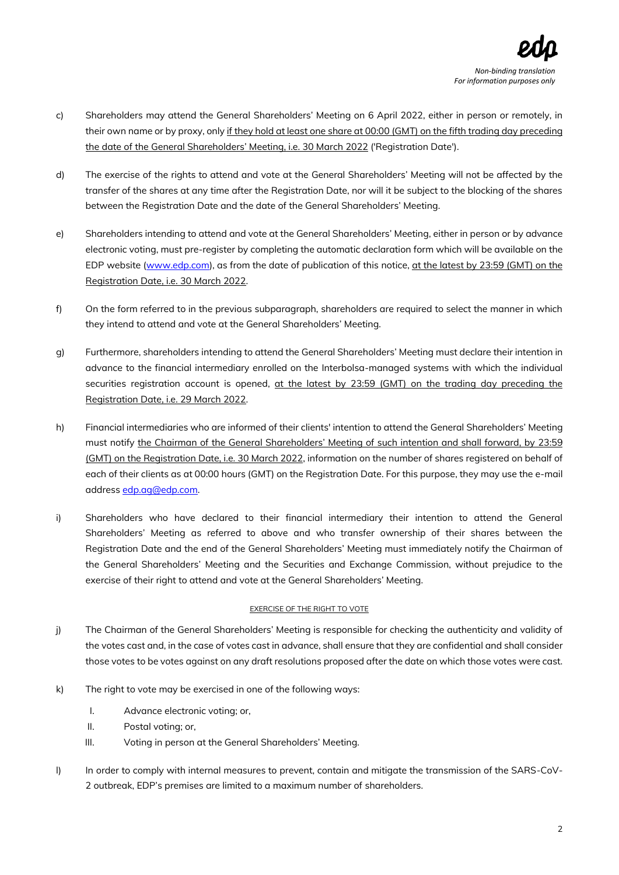- c) Shareholders may attend the General Shareholders' Meeting on 6 April 2022, either in person or remotely, in their own name or by proxy, only if they hold at least one share at 00:00 (GMT) on the fifth trading day preceding the date of the General Shareholders' Meeting, i.e. 30 March 2022 ('Registration Date').
- d) The exercise of the rights to attend and vote at the General Shareholders' Meeting will not be affected by the transfer of the shares at any time after the Registration Date, nor will it be subject to the blocking of the shares between the Registration Date and the date of the General Shareholders' Meeting.
- e) Shareholders intending to attend and vote at the General Shareholders' Meeting, either in person or by advance electronic voting, must pre-register by completing the automatic declaration form which will be available on the EDP website [\(www.edp.com\)](http://www.edp.com/), as from the date of publication of this notice, at the latest by 23:59 (GMT) on the Registration Date, i.e. 30 March 2022.
- f) On the form referred to in the previous subparagraph, shareholders are required to select the manner in which they intend to attend and vote at the General Shareholders' Meeting.
- g) Furthermore, shareholders intending to attend the General Shareholders' Meeting must declare their intention in advance to the financial intermediary enrolled on the Interbolsa-managed systems with which the individual securities registration account is opened, at the latest by 23:59 (GMT) on the trading day preceding the Registration Date, i.e. 29 March 2022.
- h) Financial intermediaries who are informed of their clients' intention to attend the General Shareholders' Meeting must notify the Chairman of the General Shareholders' Meeting of such intention and shall forward, by 23:59 (GMT) on the Registration Date, i.e. 30 March 2022, information on the number of shares registered on behalf of each of their clients as at 00:00 hours (GMT) on the Registration Date. For this purpose, they may use the e-mail address [edp.ag@edp.com.](mailto:edp.ag@edp.com)
- i) Shareholders who have declared to their financial intermediary their intention to attend the General Shareholders' Meeting as referred to above and who transfer ownership of their shares between the Registration Date and the end of the General Shareholders' Meeting must immediately notify the Chairman of the General Shareholders' Meeting and the Securities and Exchange Commission, without prejudice to the exercise of their right to attend and vote at the General Shareholders' Meeting.

# EXERCISE OF THE RIGHT TO VOTE

- j) The Chairman of the General Shareholders' Meeting is responsible for checking the authenticity and validity of the votes cast and, in the case of votes cast in advance, shall ensure that they are confidential and shall consider those votes to be votes against on any draft resolutions proposed after the date on which those votes were cast.
- k) The right to vote may be exercised in one of the following ways:
	- I. Advance electronic voting; or,
	- II. Postal voting; or,
	- III. Voting in person at the General Shareholders' Meeting.
- l) In order to comply with internal measures to prevent, contain and mitigate the transmission of the SARS-CoV-2 outbreak, EDP's premises are limited to a maximum number of shareholders.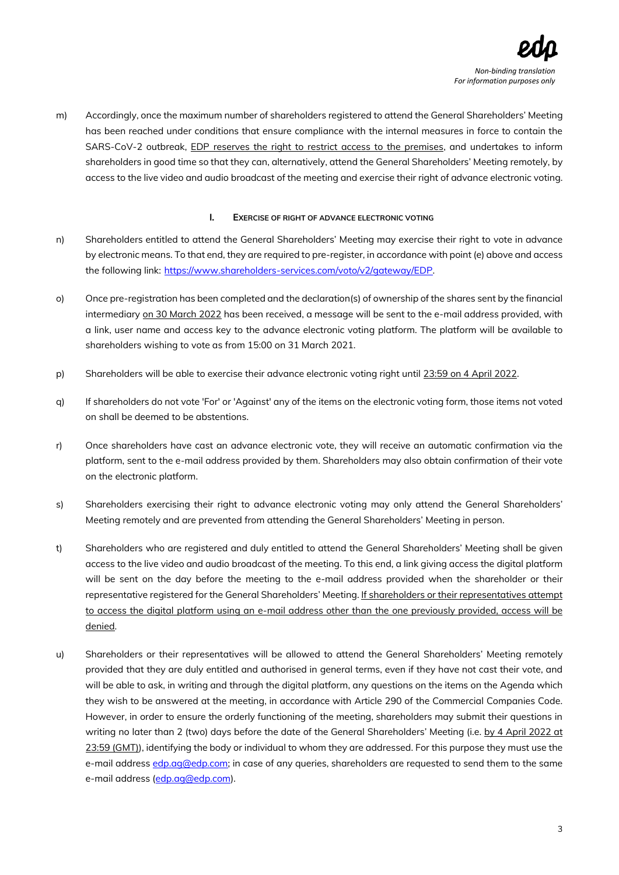m) Accordingly, once the maximum number of shareholders registered to attend the General Shareholders' Meeting has been reached under conditions that ensure compliance with the internal measures in force to contain the SARS-CoV-2 outbreak, EDP reserves the right to restrict access to the premises, and undertakes to inform shareholders in good time so that they can, alternatively, attend the General Shareholders' Meeting remotely, by access to the live video and audio broadcast of the meeting and exercise their right of advance electronic voting.

# **I. EXERCISE OF RIGHT OF ADVANCE ELECTRONIC VOTING**

- n) Shareholders entitled to attend the General Shareholders' Meeting may exercise their right to vote in advance by electronic means. To that end, they are required to pre-register, in accordance with point (e) above and access the following link: [https://www.shareholders-services.com/voto/v2/gateway/EDP.](https://www.shareholders-services.com/voto/v2/gateway/EDP)
- o) Once pre-registration has been completed and the declaration(s) of ownership of the shares sent by the financial intermediary on 30 March 2022 has been received, a message will be sent to the e-mail address provided, with a link, user name and access key to the advance electronic voting platform. The platform will be available to shareholders wishing to vote as from 15:00 on 31 March 2021.
- p) Shareholders will be able to exercise their advance electronic voting right until 23:59 on 4 April 2022.
- q) If shareholders do not vote 'For' or 'Against' any of the items on the electronic voting form, those items not voted on shall be deemed to be abstentions.
- r) Once shareholders have cast an advance electronic vote, they will receive an automatic confirmation via the platform, sent to the e-mail address provided by them. Shareholders may also obtain confirmation of their vote on the electronic platform.
- s) Shareholders exercising their right to advance electronic voting may only attend the General Shareholders' Meeting remotely and are prevented from attending the General Shareholders' Meeting in person.
- t) Shareholders who are registered and duly entitled to attend the General Shareholders' Meeting shall be given access to the live video and audio broadcast of the meeting. To this end, a link giving access the digital platform will be sent on the day before the meeting to the e-mail address provided when the shareholder or their representative registered for the General Shareholders' Meeting. If shareholders or their representatives attempt to access the digital platform using an e-mail address other than the one previously provided, access will be denied.
- u) Shareholders or their representatives will be allowed to attend the General Shareholders' Meeting remotely provided that they are duly entitled and authorised in general terms, even if they have not cast their vote, and will be able to ask, in writing and through the digital platform, any questions on the items on the Agenda which they wish to be answered at the meeting, in accordance with Article 290 of the Commercial Companies Code. However, in order to ensure the orderly functioning of the meeting, shareholders may submit their questions in writing no later than 2 (two) days before the date of the General Shareholders' Meeting (i.e. by 4 April 2022 at 23:59 (GMT)), identifying the body or individual to whom they are addressed. For this purpose they must use the e-mail address [edp.ag@edp.com;](mailto:edp.ag@edp.com) in case of any queries, shareholders are requested to send them to the same e-mail address [\(edp.ag@edp.com\)](mailto:edp.ag@edp.com).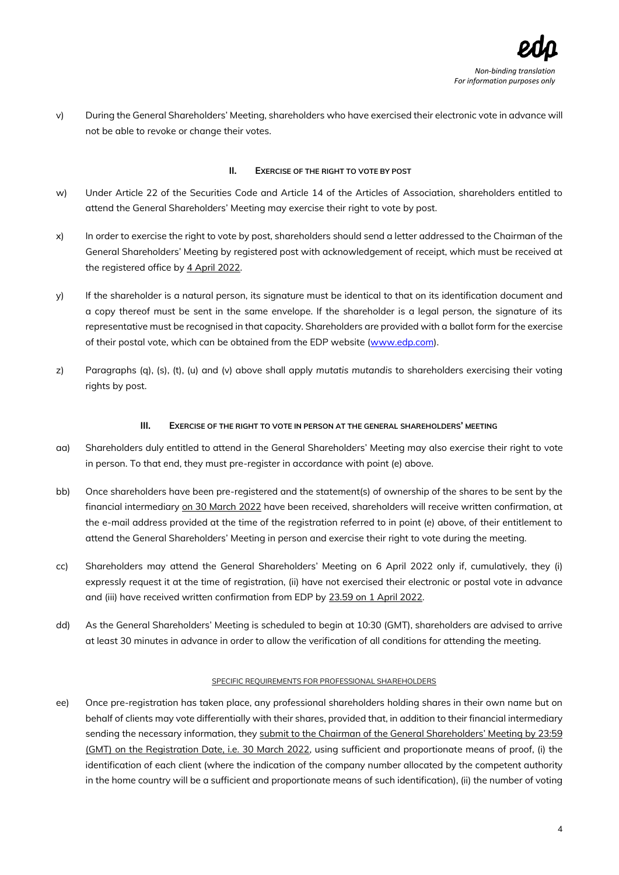v) During the General Shareholders' Meeting, shareholders who have exercised their electronic vote in advance will not be able to revoke or change their votes.

# **II. EXERCISE OF THE RIGHT TO VOTE BY POST**

- w) Under Article 22 of the Securities Code and Article 14 of the Articles of Association, shareholders entitled to attend the General Shareholders' Meeting may exercise their right to vote by post.
- x) In order to exercise the right to vote by post, shareholders should send a letter addressed to the Chairman of the General Shareholders' Meeting by registered post with acknowledgement of receipt, which must be received at the registered office by 4 April 2022.
- y) If the shareholder is a natural person, its signature must be identical to that on its identification document and a copy thereof must be sent in the same envelope. If the shareholder is a legal person, the signature of its representative must be recognised in that capacity. Shareholders are provided with a ballot form for the exercise of their postal vote, which can be obtained from the EDP website [\(www.edp.com\)](http://www.edp.com/).
- z) Paragraphs (q), (s), (t), (u) and (v) above shall apply *mutatis mutandis* to shareholders exercising their voting rights by post.

### **III. EXERCISE OF THE RIGHT TO VOTE IN PERSON AT THE GENERAL SHAREHOLDERS' MEETING**

- aa) Shareholders duly entitled to attend in the General Shareholders' Meeting may also exercise their right to vote in person. To that end, they must pre-register in accordance with point (e) above.
- bb) Once shareholders have been pre-registered and the statement(s) of ownership of the shares to be sent by the financial intermediary on 30 March 2022 have been received, shareholders will receive written confirmation, at the e-mail address provided at the time of the registration referred to in point (e) above, of their entitlement to attend the General Shareholders' Meeting in person and exercise their right to vote during the meeting.
- cc) Shareholders may attend the General Shareholders' Meeting on 6 April 2022 only if, cumulatively, they (i) expressly request it at the time of registration, (ii) have not exercised their electronic or postal vote in advance and (iii) have received written confirmation from EDP by 23.59 on 1 April 2022.
- dd) As the General Shareholders' Meeting is scheduled to begin at 10:30 (GMT), shareholders are advised to arrive at least 30 minutes in advance in order to allow the verification of all conditions for attending the meeting.

#### SPECIFIC REQUIREMENTS FOR PROFESSIONAL SHAREHOLDERS

ee) Once pre-registration has taken place, any professional shareholders holding shares in their own name but on behalf of clients may vote differentially with their shares, provided that, in addition to their financial intermediary sending the necessary information, they submit to the Chairman of the General Shareholders' Meeting by 23:59 (GMT) on the Registration Date, i.e. 30 March 2022, using sufficient and proportionate means of proof, (i) the identification of each client (where the indication of the company number allocated by the competent authority in the home country will be a sufficient and proportionate means of such identification), (ii) the number of voting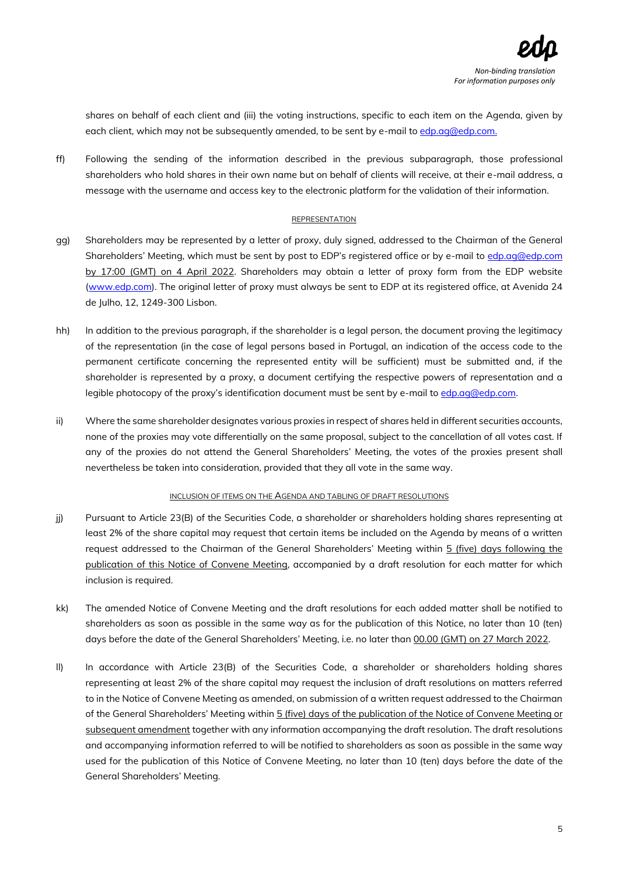shares on behalf of each client and (iii) the voting instructions, specific to each item on the Agenda, given by each client, which may not be subsequently amended, to be sent by e-mail to [edp.ag@edp.com.](mailto:edp.ag@edp.com)

ff) Following the sending of the information described in the previous subparagraph, those professional shareholders who hold shares in their own name but on behalf of clients will receive, at their e-mail address, a message with the username and access key to the electronic platform for the validation of their information.

# **REPRESENTATION**

- gg) Shareholders may be represented by a letter of proxy, duly signed, addressed to the Chairman of the General Shareholders' Meeting, which must be sent by post to EDP's registered office or by e-mail to [edp.ag@edp.com](mailto:edp.ag@edp.com) by 17:00 (GMT) on 4 April 2022. Shareholders may obtain a letter of proxy form from the EDP website [\(www.edp.com\)](http://www.edp.com/). The original letter of proxy must always be sent to EDP at its registered office, at Avenida 24 de Julho, 12, 1249-300 Lisbon.
- hh) In addition to the previous paragraph, if the shareholder is a legal person, the document proving the legitimacy of the representation (in the case of legal persons based in Portugal, an indication of the access code to the permanent certificate concerning the represented entity will be sufficient) must be submitted and, if the shareholder is represented by a proxy, a document certifying the respective powers of representation and a legible photocopy of the proxy's identification document must be sent by e-mail to edp.ag@edp.com.
- ii) Where the same shareholder designates various proxies in respect of shares held in different securities accounts, none of the proxies may vote differentially on the same proposal, subject to the cancellation of all votes cast. If any of the proxies do not attend the General Shareholders' Meeting, the votes of the proxies present shall nevertheless be taken into consideration, provided that they all vote in the same way.

# INCLUSION OF ITEMS ON THE AGENDA AND TABLING OF DRAFT RESOLUTIONS

- jj) Pursuant to Article 23(B) of the Securities Code, a shareholder or shareholders holding shares representing at least 2% of the share capital may request that certain items be included on the Agenda by means of a written request addressed to the Chairman of the General Shareholders' Meeting within 5 (five) days following the publication of this Notice of Convene Meeting, accompanied by a draft resolution for each matter for which inclusion is required.
- kk) The amended Notice of Convene Meeting and the draft resolutions for each added matter shall be notified to shareholders as soon as possible in the same way as for the publication of this Notice, no later than 10 (ten) days before the date of the General Shareholders' Meeting, i.e. no later than 00.00 (GMT) on 27 March 2022.
- ll) In accordance with Article 23(B) of the Securities Code, a shareholder or shareholders holding shares representing at least 2% of the share capital may request the inclusion of draft resolutions on matters referred to in the Notice of Convene Meeting as amended, on submission of a written request addressed to the Chairman of the General Shareholders' Meeting within 5 (five) days of the publication of the Notice of Convene Meeting or subsequent amendment together with any information accompanying the draft resolution. The draft resolutions and accompanying information referred to will be notified to shareholders as soon as possible in the same way used for the publication of this Notice of Convene Meeting, no later than 10 (ten) days before the date of the General Shareholders' Meeting.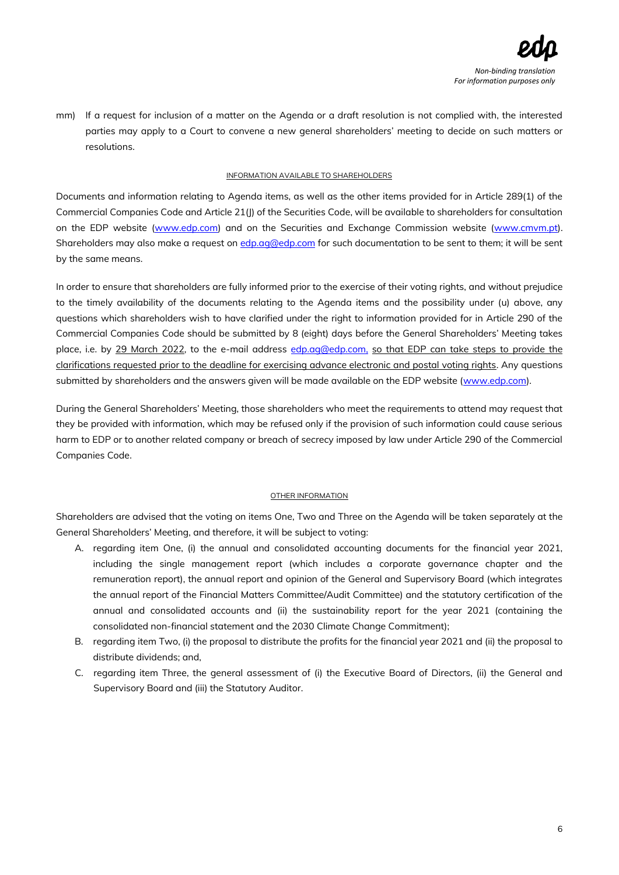mm) If a request for inclusion of a matter on the Agenda or a draft resolution is not complied with, the interested parties may apply to a Court to convene a new general shareholders' meeting to decide on such matters or resolutions.

# INFORMATION AVAILABLE TO SHAREHOLDERS

Documents and information relating to Agenda items, as well as the other items provided for in Article 289(1) of the Commercial Companies Code and Article 21(J) of the Securities Code, will be available to shareholders for consultation on the EDP website [\(www.edp.com\)](http://www.edp.com/) and on the Securities and Exchange Commission website [\(www.cmvm.pt\)](http://www.cmvm.pt/). Shareholders may also make a request on [edp.ag@edp.com](mailto:edp.ag@edp.com) for such documentation to be sent to them; it will be sent by the same means.

In order to ensure that shareholders are fully informed prior to the exercise of their voting rights, and without prejudice to the timely availability of the documents relating to the Agenda items and the possibility under (u) above, any questions which shareholders wish to have clarified under the right to information provided for in Article 290 of the Commercial Companies Code should be submitted by 8 (eight) days before the General Shareholders' Meeting takes place, i.e. by 29 March 2022, to the e-mail address [edp.ag@edp.com,](mailto:edp.ag@edp.com) so that EDP can take steps to provide the clarifications requested prior to the deadline for exercising advance electronic and postal voting rights. Any questions submitted by shareholders and the answers given will be made available on the EDP website [\(www.edp.com\)](http://www.edp.com/).

During the General Shareholders' Meeting, those shareholders who meet the requirements to attend may request that they be provided with information, which may be refused only if the provision of such information could cause serious harm to EDP or to another related company or breach of secrecy imposed by law under Article 290 of the Commercial Companies Code.

# OTHER INFORMATION

Shareholders are advised that the voting on items One, Two and Three on the Agenda will be taken separately at the General Shareholders' Meeting, and therefore, it will be subject to voting:

- A. regarding item One, (i) the annual and consolidated accounting documents for the financial year 2021, including the single management report (which includes a corporate governance chapter and the remuneration report), the annual report and opinion of the General and Supervisory Board (which integrates the annual report of the Financial Matters Committee/Audit Committee) and the statutory certification of the annual and consolidated accounts and (ii) the sustainability report for the year 2021 (containing the consolidated non-financial statement and the 2030 Climate Change Commitment);
- B. regarding item Two, (i) the proposal to distribute the profits for the financial year 2021 and (ii) the proposal to distribute dividends; and,
- C. regarding item Three, the general assessment of (i) the Executive Board of Directors, (ii) the General and Supervisory Board and (iii) the Statutory Auditor.